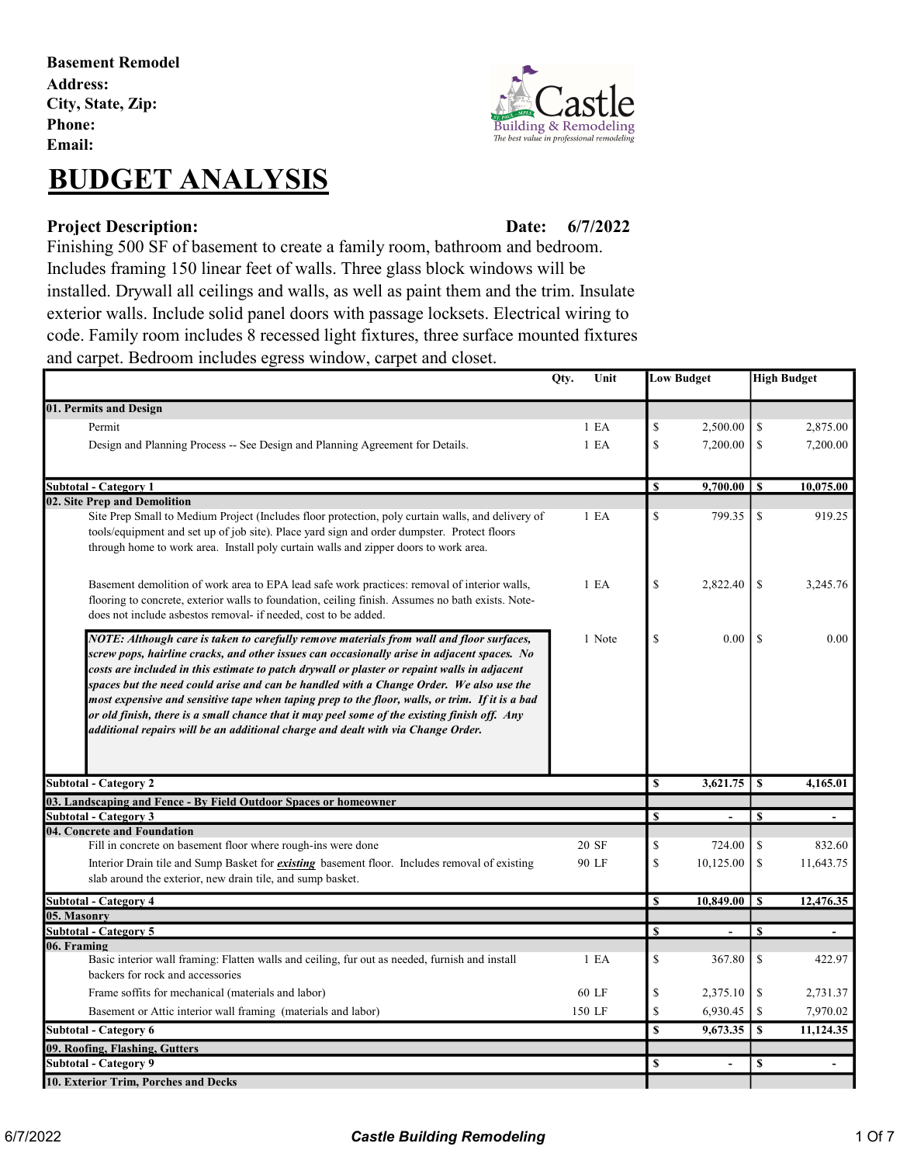Basement Remodel Address: City, State, Zip: Phone: Email:

# BUDGET ANALYSIS

### Project Description: Date:

**Building & Remodeling** The best value in professional re

#### 6/7/2022

Finishing 500 SF of basement to create a family room, bathroom and bedroom. Includes framing 150 linear feet of walls. Three glass block windows will be installed. Drywall all ceilings and walls, as well as paint them and the trim. Insulate exterior walls. Include solid panel doors with passage locksets. Electrical wiring to code. Family room includes 8 recessed light fixtures, three surface mounted fixtures and carpet. Bedroom includes egress window, carpet and closet.

|                                                                                                                                                                                                                                                                                                                                                                                                                                                                                                                                                                                                                                                                           | Unit<br>Qty.     |    | <b>Low Budget</b>        |                  | <b>High Budget</b> |
|---------------------------------------------------------------------------------------------------------------------------------------------------------------------------------------------------------------------------------------------------------------------------------------------------------------------------------------------------------------------------------------------------------------------------------------------------------------------------------------------------------------------------------------------------------------------------------------------------------------------------------------------------------------------------|------------------|----|--------------------------|------------------|--------------------|
| 01. Permits and Design                                                                                                                                                                                                                                                                                                                                                                                                                                                                                                                                                                                                                                                    |                  |    |                          |                  |                    |
| Permit                                                                                                                                                                                                                                                                                                                                                                                                                                                                                                                                                                                                                                                                    | 1 E A            | \$ | 2,500.00                 | \$               | 2,875.00           |
| Design and Planning Process -- See Design and Planning Agreement for Details.                                                                                                                                                                                                                                                                                                                                                                                                                                                                                                                                                                                             | 1 E A            | \$ | 7,200.00                 | \$               | 7,200.00           |
|                                                                                                                                                                                                                                                                                                                                                                                                                                                                                                                                                                                                                                                                           |                  |    |                          |                  |                    |
| Subtotal - Category 1                                                                                                                                                                                                                                                                                                                                                                                                                                                                                                                                                                                                                                                     |                  | \$ | $9,700.00$   \$          |                  | 10,075.00          |
| 02. Site Prep and Demolition                                                                                                                                                                                                                                                                                                                                                                                                                                                                                                                                                                                                                                              |                  |    |                          |                  |                    |
| Site Prep Small to Medium Project (Includes floor protection, poly curtain walls, and delivery of<br>tools/equipment and set up of job site). Place yard sign and order dumpster. Protect floors<br>through home to work area. Install poly curtain walls and zipper doors to work area.                                                                                                                                                                                                                                                                                                                                                                                  | 1 E <sub>A</sub> | \$ | 799.35                   | \$               | 919.25             |
| Basement demolition of work area to EPA lead safe work practices: removal of interior walls,<br>flooring to concrete, exterior walls to foundation, ceiling finish. Assumes no bath exists. Note-<br>does not include asbestos removal- if needed, cost to be added.                                                                                                                                                                                                                                                                                                                                                                                                      | 1 E <sub>A</sub> | \$ | 2,822.40                 | <sup>\$</sup>    | 3,245.76           |
| NOTE: Although care is taken to carefully remove materials from wall and floor surfaces,<br>screw pops, hairline cracks, and other issues can occasionally arise in adjacent spaces. No<br>costs are included in this estimate to patch drywall or plaster or repaint walls in adjacent<br>spaces but the need could arise and can be handled with a Change Order. We also use the<br>most expensive and sensitive tape when taping prep to the floor, walls, or trim. If it is a bad<br>or old finish, there is a small chance that it may peel some of the existing finish off. Any<br>additional repairs will be an additional charge and dealt with via Change Order. | 1 Note           | \$ | 0.00                     | <sup>\$</sup>    | 0.00               |
| <b>Subtotal - Category 2</b>                                                                                                                                                                                                                                                                                                                                                                                                                                                                                                                                                                                                                                              |                  | \$ | 3,621.75                 | $\mathbf{s}$     | 4.165.01           |
| 03. Landscaping and Fence - By Field Outdoor Spaces or homeowner                                                                                                                                                                                                                                                                                                                                                                                                                                                                                                                                                                                                          |                  |    |                          |                  |                    |
| Subtotal - Category 3                                                                                                                                                                                                                                                                                                                                                                                                                                                                                                                                                                                                                                                     |                  | \$ | $\overline{\phantom{a}}$ | $\mathbf{s}$     | $\Delta$           |
| 04. Concrete and Foundation<br>Fill in concrete on basement floor where rough-ins were done                                                                                                                                                                                                                                                                                                                                                                                                                                                                                                                                                                               | 20 SF            | \$ | 724.00                   | \$               | 832.60             |
|                                                                                                                                                                                                                                                                                                                                                                                                                                                                                                                                                                                                                                                                           |                  | \$ | 10,125.00                | <sup>\$</sup>    | 11,643.75          |
| Interior Drain tile and Sump Basket for <i>existing</i> basement floor. Includes removal of existing<br>slab around the exterior, new drain tile, and sump basket.                                                                                                                                                                                                                                                                                                                                                                                                                                                                                                        | 90 LF            |    |                          |                  |                    |
| <b>Subtotal - Category 4</b>                                                                                                                                                                                                                                                                                                                                                                                                                                                                                                                                                                                                                                              |                  | \$ | 10,849.00                | $\mathbf{s}$     | 12,476.35          |
| 05. Masonry                                                                                                                                                                                                                                                                                                                                                                                                                                                                                                                                                                                                                                                               |                  |    |                          |                  |                    |
| <b>Subtotal - Category 5</b>                                                                                                                                                                                                                                                                                                                                                                                                                                                                                                                                                                                                                                              |                  | \$ | $\blacksquare$           | <sup>\$</sup>    | $\blacksquare$     |
| 06. Framing                                                                                                                                                                                                                                                                                                                                                                                                                                                                                                                                                                                                                                                               |                  |    |                          |                  |                    |
| Basic interior wall framing: Flatten walls and ceiling, fur out as needed, furnish and install<br>backers for rock and accessories                                                                                                                                                                                                                                                                                                                                                                                                                                                                                                                                        | 1 E <sub>A</sub> | \$ | 367.80                   | \$               | 422.97             |
| Frame soffits for mechanical (materials and labor)                                                                                                                                                                                                                                                                                                                                                                                                                                                                                                                                                                                                                        | 60 LF            | \$ | 2,375.10                 | \$               | 2,731.37           |
| Basement or Attic interior wall framing (materials and labor)                                                                                                                                                                                                                                                                                                                                                                                                                                                                                                                                                                                                             | 150 LF           | \$ | 6,930.45                 | $\mathcal{S}$    | 7,970.02           |
| <b>Subtotal - Category 6</b>                                                                                                                                                                                                                                                                                                                                                                                                                                                                                                                                                                                                                                              |                  | \$ | 9,673.35                 | $\boldsymbol{s}$ | 11,124.35          |
| 09. Roofing, Flashing, Gutters                                                                                                                                                                                                                                                                                                                                                                                                                                                                                                                                                                                                                                            |                  |    |                          |                  |                    |
| <b>Subtotal - Category 9</b>                                                                                                                                                                                                                                                                                                                                                                                                                                                                                                                                                                                                                                              |                  | S  | $\overline{\phantom{a}}$ | \$               | $\overline{a}$     |
| 10. Exterior Trim, Porches and Decks                                                                                                                                                                                                                                                                                                                                                                                                                                                                                                                                                                                                                                      |                  |    |                          |                  |                    |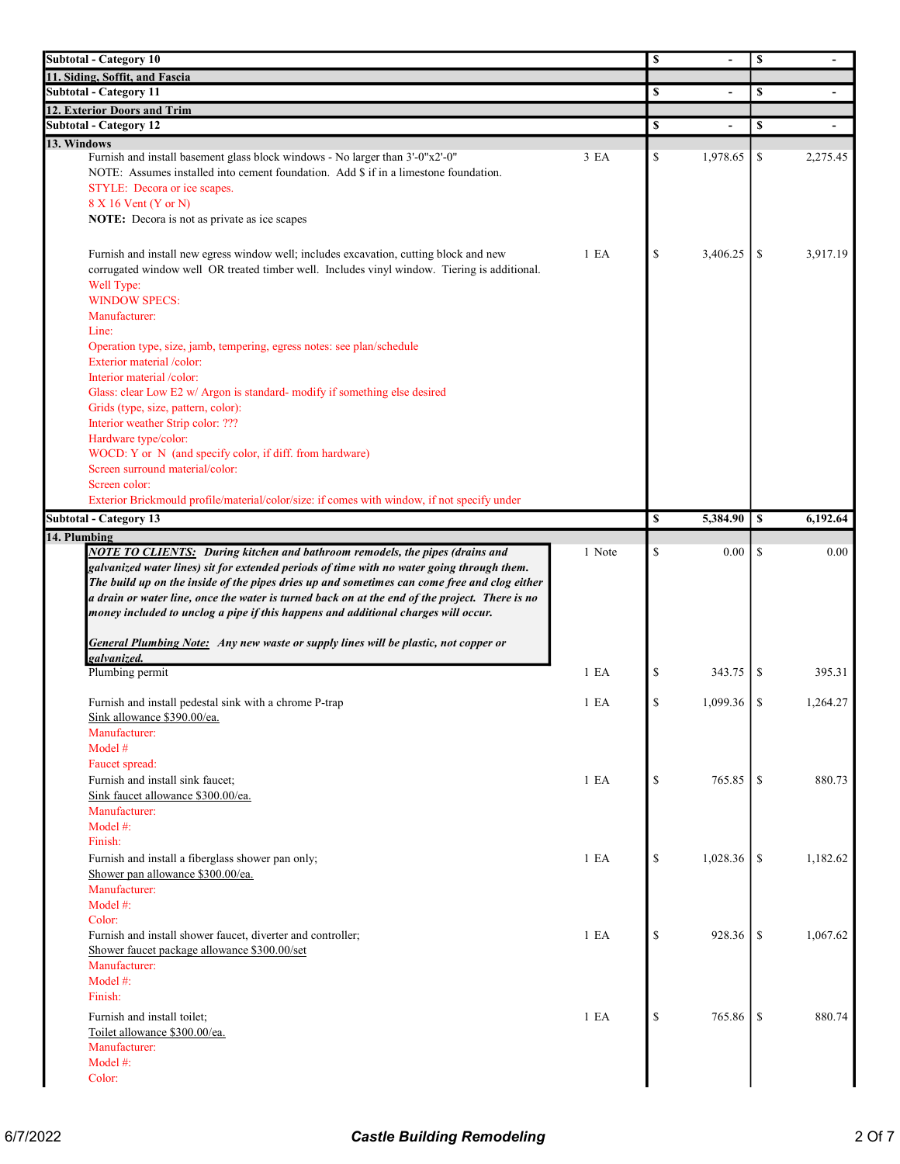| <b>Subtotal - Category 10</b>                                                                  | \$               |              | \$             |               |                |
|------------------------------------------------------------------------------------------------|------------------|--------------|----------------|---------------|----------------|
| 11. Siding, Soffit, and Fascia                                                                 |                  |              |                |               |                |
| <b>Subtotal - Category 11</b>                                                                  |                  | \$           |                | \$            |                |
| 12. Exterior Doors and Trim                                                                    |                  |              |                |               |                |
| <b>Subtotal - Category 12</b>                                                                  |                  | \$           | $\blacksquare$ | \$            | $\blacksquare$ |
| 13. Windows                                                                                    |                  |              |                |               |                |
| Furnish and install basement glass block windows - No larger than 3'-0"x2'-0"                  | 3 EA             | \$           | 1,978.65       | \$            | 2,275.45       |
| NOTE: Assumes installed into cement foundation. Add \$ if in a limestone foundation.           |                  |              |                |               |                |
| STYLE: Decora or ice scapes.                                                                   |                  |              |                |               |                |
| 8 X 16 Vent (Y or N)<br>NOTE: Decora is not as private as ice scapes                           |                  |              |                |               |                |
|                                                                                                |                  |              |                |               |                |
| Furnish and install new egress window well; includes excavation, cutting block and new         | 1 E <sub>A</sub> | \$           | 3,406.25       | \$            | 3,917.19       |
| corrugated window well OR treated timber well. Includes vinyl window. Tiering is additional.   |                  |              |                |               |                |
| Well Type:                                                                                     |                  |              |                |               |                |
| <b>WINDOW SPECS:</b>                                                                           |                  |              |                |               |                |
| Manufacturer:                                                                                  |                  |              |                |               |                |
| Line:                                                                                          |                  |              |                |               |                |
| Operation type, size, jamb, tempering, egress notes: see plan/schedule                         |                  |              |                |               |                |
| Exterior material /color:                                                                      |                  |              |                |               |                |
| Interior material /color:                                                                      |                  |              |                |               |                |
| Glass: clear Low E2 w/ Argon is standard- modify if something else desired                     |                  |              |                |               |                |
| Grids (type, size, pattern, color):                                                            |                  |              |                |               |                |
| Interior weather Strip color: ???                                                              |                  |              |                |               |                |
| Hardware type/color:                                                                           |                  |              |                |               |                |
| WOCD: Y or N (and specify color, if diff. from hardware)                                       |                  |              |                |               |                |
| Screen surround material/color:                                                                |                  |              |                |               |                |
| Screen color:                                                                                  |                  |              |                |               |                |
| Exterior Brickmould profile/material/color/size: if comes with window, if not specify under    |                  |              |                |               |                |
|                                                                                                |                  |              |                |               |                |
|                                                                                                |                  |              |                |               |                |
| <b>Subtotal - Category 13</b>                                                                  |                  | \$           | 5,384.90       | \$            | 6,192.64       |
| 14. Plumbing                                                                                   |                  |              |                |               |                |
| <b>NOTE TO CLIENTS:</b> During kitchen and bathroom remodels, the pipes (drains and            | 1 Note           | $\mathbb{S}$ | 0.00           | \$            | 0.00           |
| galvanized water lines) sit for extended periods of time with no water going through them.     |                  |              |                |               |                |
| The build up on the inside of the pipes dries up and sometimes can come free and clog either   |                  |              |                |               |                |
| a drain or water line, once the water is turned back on at the end of the project. There is no |                  |              |                |               |                |
| money included to unclog a pipe if this happens and additional charges will occur.             |                  |              |                |               |                |
|                                                                                                |                  |              |                |               |                |
| General Plumbing Note: Any new waste or supply lines will be plastic, not copper or            |                  |              |                |               |                |
| galvanized.<br>Plumbing permit                                                                 | 1 E A            | \$           | 343.75         | S             | 395.31         |
|                                                                                                |                  |              |                |               |                |
| Furnish and install pedestal sink with a chrome P-trap                                         | 1 E <sub>A</sub> | $\mathbb{S}$ | 1,099.36       | <sup>\$</sup> | 1,264.27       |
| Sink allowance \$390.00/ea.                                                                    |                  |              |                |               |                |
| Manufacturer:                                                                                  |                  |              |                |               |                |
| Model #                                                                                        |                  |              |                |               |                |
| Faucet spread:                                                                                 |                  |              |                |               |                |
| Furnish and install sink faucet;                                                               | 1 E A            | \$           | 765.85         | <sup>\$</sup> | 880.73         |
| Sink faucet allowance \$300.00/ea.                                                             |                  |              |                |               |                |
| Manufacturer:                                                                                  |                  |              |                |               |                |
| Model $#$ :                                                                                    |                  |              |                |               |                |
| Finish:                                                                                        |                  |              |                |               |                |
|                                                                                                | 1 E A            | $\mathbb{S}$ | 1,028.36       | \$            | 1,182.62       |
| Furnish and install a fiberglass shower pan only;<br>Shower pan allowance \$300.00/ea.         |                  |              |                |               |                |
| Manufacturer:                                                                                  |                  |              |                |               |                |
| Model #:                                                                                       |                  |              |                |               |                |
| Color:                                                                                         |                  |              |                |               |                |
|                                                                                                | 1 E A            | \$           |                | -S            |                |
| Furnish and install shower faucet, diverter and controller;                                    |                  |              | 928.36         |               | 1,067.62       |
| Shower faucet package allowance \$300.00/set                                                   |                  |              |                |               |                |
| Manufacturer:<br>Model #:                                                                      |                  |              |                |               |                |
| Finish:                                                                                        |                  |              |                |               |                |
|                                                                                                |                  |              |                |               |                |
| Furnish and install toilet;                                                                    | 1 E A            | \$           | 765.86         | \$            | 880.74         |
| Toilet allowance \$300.00/ea.                                                                  |                  |              |                |               |                |
| Manufacturer:                                                                                  |                  |              |                |               |                |
| Model #:<br>Color:                                                                             |                  |              |                |               |                |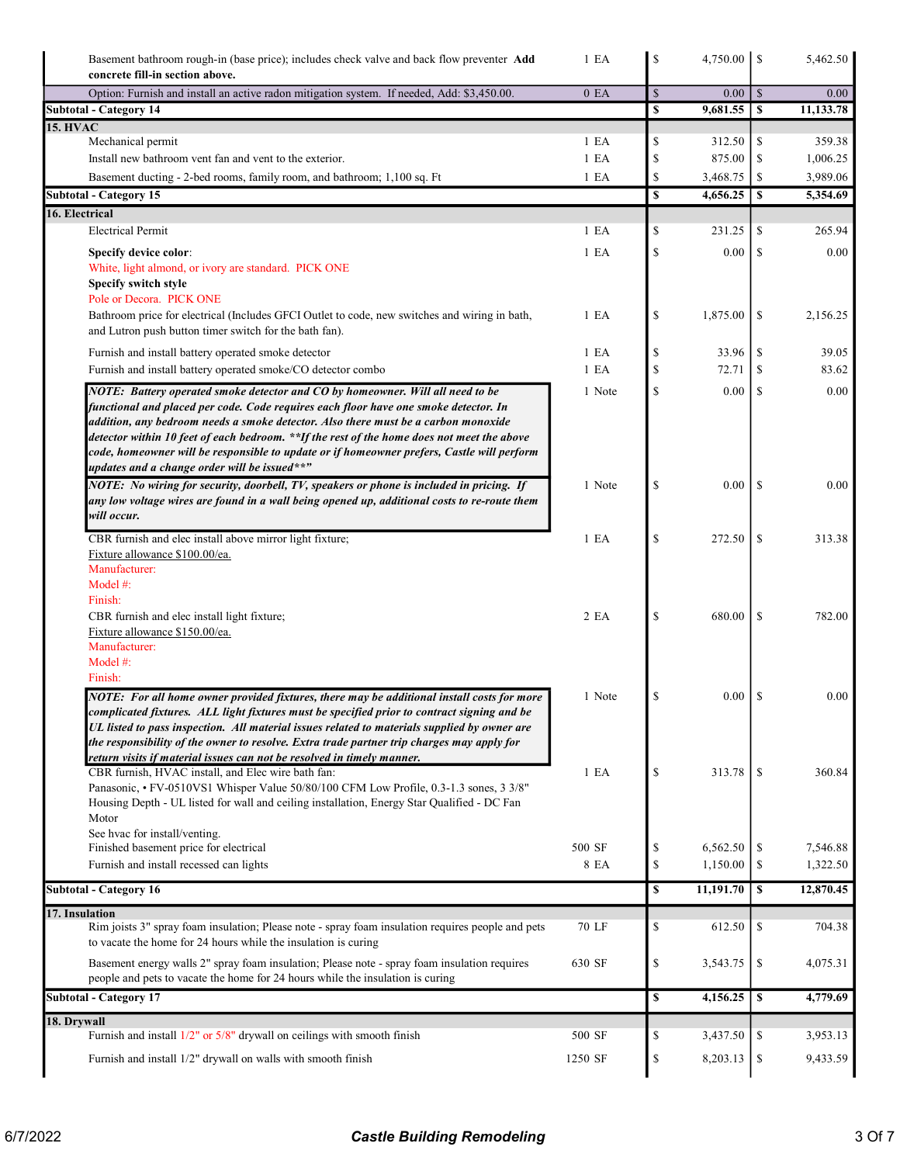| Basement bathroom rough-in (base price); includes check valve and back flow preventer <b>Add</b><br>concrete fill-in section above.                                                                                                                                                                                                                                                                                                                                                                      | 1 E A            | \$                                |           |                          | 5,462.50  |
|----------------------------------------------------------------------------------------------------------------------------------------------------------------------------------------------------------------------------------------------------------------------------------------------------------------------------------------------------------------------------------------------------------------------------------------------------------------------------------------------------------|------------------|-----------------------------------|-----------|--------------------------|-----------|
| Option: Furnish and install an active radon mitigation system. If needed, Add: \$3,450.00.                                                                                                                                                                                                                                                                                                                                                                                                               | 0 E <sub>A</sub> | $\mathbb{S}$                      | 0.00      | $\vert$ \$               | 0.00      |
| <b>Subtotal - Category 14</b>                                                                                                                                                                                                                                                                                                                                                                                                                                                                            |                  | $\mathbb S$                       |           |                          | 11,133.78 |
| <b>15. HVAC</b><br>Mechanical permit                                                                                                                                                                                                                                                                                                                                                                                                                                                                     | 1 E <sub>A</sub> | \$                                | 312.50    | \$                       | 359.38    |
| Install new bathroom vent fan and vent to the exterior.                                                                                                                                                                                                                                                                                                                                                                                                                                                  | 1 E A            | \$                                | 875.00    | <sup>\$</sup>            | 1,006.25  |
| Basement ducting - 2-bed rooms, family room, and bathroom; 1,100 sq. Ft                                                                                                                                                                                                                                                                                                                                                                                                                                  | 1 E A            | \$                                | 3,468.75  | \$                       | 3,989.06  |
| <b>Subtotal - Category 15</b>                                                                                                                                                                                                                                                                                                                                                                                                                                                                            |                  | $\mathbf{s}$                      | 4,656.25  | $\overline{\phantom{a}}$ | 5,354.69  |
| 16. Electrical                                                                                                                                                                                                                                                                                                                                                                                                                                                                                           |                  |                                   |           |                          |           |
| <b>Electrical Permit</b>                                                                                                                                                                                                                                                                                                                                                                                                                                                                                 | 1 E <sub>A</sub> | \$                                | 231.25    | \$                       | 265.94    |
| <b>Specify device color:</b>                                                                                                                                                                                                                                                                                                                                                                                                                                                                             | 1 E A            | \$                                | 0.00      | \$                       | 0.00      |
| White, light almond, or ivory are standard. PICK ONE<br>Specify switch style                                                                                                                                                                                                                                                                                                                                                                                                                             |                  |                                   |           |                          |           |
| Pole or Decora. PICK ONE                                                                                                                                                                                                                                                                                                                                                                                                                                                                                 |                  |                                   |           |                          |           |
| Bathroom price for electrical (Includes GFCI Outlet to code, new switches and wiring in bath,<br>and Lutron push button timer switch for the bath fan).                                                                                                                                                                                                                                                                                                                                                  | 1 E A            | \$                                | 1,875.00  | \$                       | 2,156.25  |
| Furnish and install battery operated smoke detector                                                                                                                                                                                                                                                                                                                                                                                                                                                      | 1 E A            | \$                                | 33.96     | \$                       | 39.05     |
| Furnish and install battery operated smoke/CO detector combo                                                                                                                                                                                                                                                                                                                                                                                                                                             | 1 E A            | \$                                | 72.71     | \$                       | 83.62     |
| NOTE: Battery operated smoke detector and CO by homeowner. Will all need to be<br>functional and placed per code. Code requires each floor have one smoke detector. In<br>addition, any bedroom needs a smoke detector. Also there must be a carbon monoxide<br>detector within 10 feet of each bedroom. **If the rest of the home does not meet the above<br>code, homeowner will be responsible to update or if homeowner prefers, Castle will perform<br>updates and a change order will be issued**" | 1 Note           | $\mathbb{S}$                      | 0.00      | \$                       | 0.00      |
| NOTE: No wiring for security, doorbell, TV, speakers or phone is included in pricing. If<br>any low voltage wires are found in a wall being opened up, additional costs to re-route them<br>will occur.                                                                                                                                                                                                                                                                                                  | 1 Note           | \$                                | $0.00\,$  | \$                       | 0.00      |
| CBR furnish and elec install above mirror light fixture;<br>Fixture allowance \$100.00/ea.<br>Manufacturer:<br>Model #:<br>Finish:                                                                                                                                                                                                                                                                                                                                                                       | 1 E A            | \$                                | 272.50    | \$                       | 313.38    |
| CBR furnish and elec install light fixture;<br>Fixture allowance \$150.00/ea.<br>Manufacturer:<br>Model #:<br>Finish:                                                                                                                                                                                                                                                                                                                                                                                    | 2 EA             | \$                                | 680.00    | $\mathbb{S}$             | 782.00    |
| NOTE: For all home owner provided fixtures, there may be additional install costs for more<br>complicated fixtures. ALL light fixtures must be specified prior to contract signing and be<br>UL listed to pass inspection. All material issues related to materials supplied by owner are<br>the responsibility of the owner to resolve. Extra trade partner trip charges may apply for<br>return visits if material issues can not be resolved in timely manner.                                        | 1 Note           | \$                                | 0.00      | <sup>\$</sup>            | 0.00      |
| CBR furnish, HVAC install, and Elec wire bath fan:<br>Panasonic, • FV-0510VS1 Whisper Value 50/80/100 CFM Low Profile, 0.3-1.3 sones, 3 3/8"<br>Housing Depth - UL listed for wall and ceiling installation, Energy Star Qualified - DC Fan<br>Motor<br>See hvac for install/venting.                                                                                                                                                                                                                    | 1 E A            | \$                                | 313.78    | \$                       | 360.84    |
| Finished basement price for electrical                                                                                                                                                                                                                                                                                                                                                                                                                                                                   | 500 SF           | \$                                | 6,562.50  | \$                       | 7,546.88  |
| Furnish and install recessed can lights                                                                                                                                                                                                                                                                                                                                                                                                                                                                  | 8 EA             | $\mathbb{S}% _{t}\left( t\right)$ | 1,150.00  | \$                       | 1,322.50  |
| <b>Subtotal - Category 16</b>                                                                                                                                                                                                                                                                                                                                                                                                                                                                            |                  | \$                                | 11,191.70 | $\pmb{\mathbb{S}}$       | 12,870.45 |
| 17. Insulation                                                                                                                                                                                                                                                                                                                                                                                                                                                                                           |                  |                                   |           |                          |           |
| Rim joists 3" spray foam insulation; Please note - spray foam insulation requires people and pets<br>to vacate the home for 24 hours while the insulation is curing                                                                                                                                                                                                                                                                                                                                      | 70 LF            | \$                                | 612.50    | \$                       | 704.38    |
| Basement energy walls 2" spray foam insulation; Please note - spray foam insulation requires<br>people and pets to vacate the home for 24 hours while the insulation is curing                                                                                                                                                                                                                                                                                                                           | 630 SF           | $\mathbb{S}$                      | 3,543.75  | \$                       | 4,075.31  |
| <b>Subtotal - Category 17</b>                                                                                                                                                                                                                                                                                                                                                                                                                                                                            |                  | \$                                | 4,156.25  | \$                       | 4,779.69  |
| 18. Drywall                                                                                                                                                                                                                                                                                                                                                                                                                                                                                              |                  |                                   |           |                          |           |
| Furnish and install $1/2$ " or $5/8$ " drywall on ceilings with smooth finish                                                                                                                                                                                                                                                                                                                                                                                                                            | 500 SF           | \$                                | 3,437.50  | \$                       | 3,953.13  |
| Furnish and install 1/2" drywall on walls with smooth finish                                                                                                                                                                                                                                                                                                                                                                                                                                             | 1250 SF          | $\mathbb{S}% _{t}\left( t\right)$ | 8,203.13  | \$                       | 9,433.59  |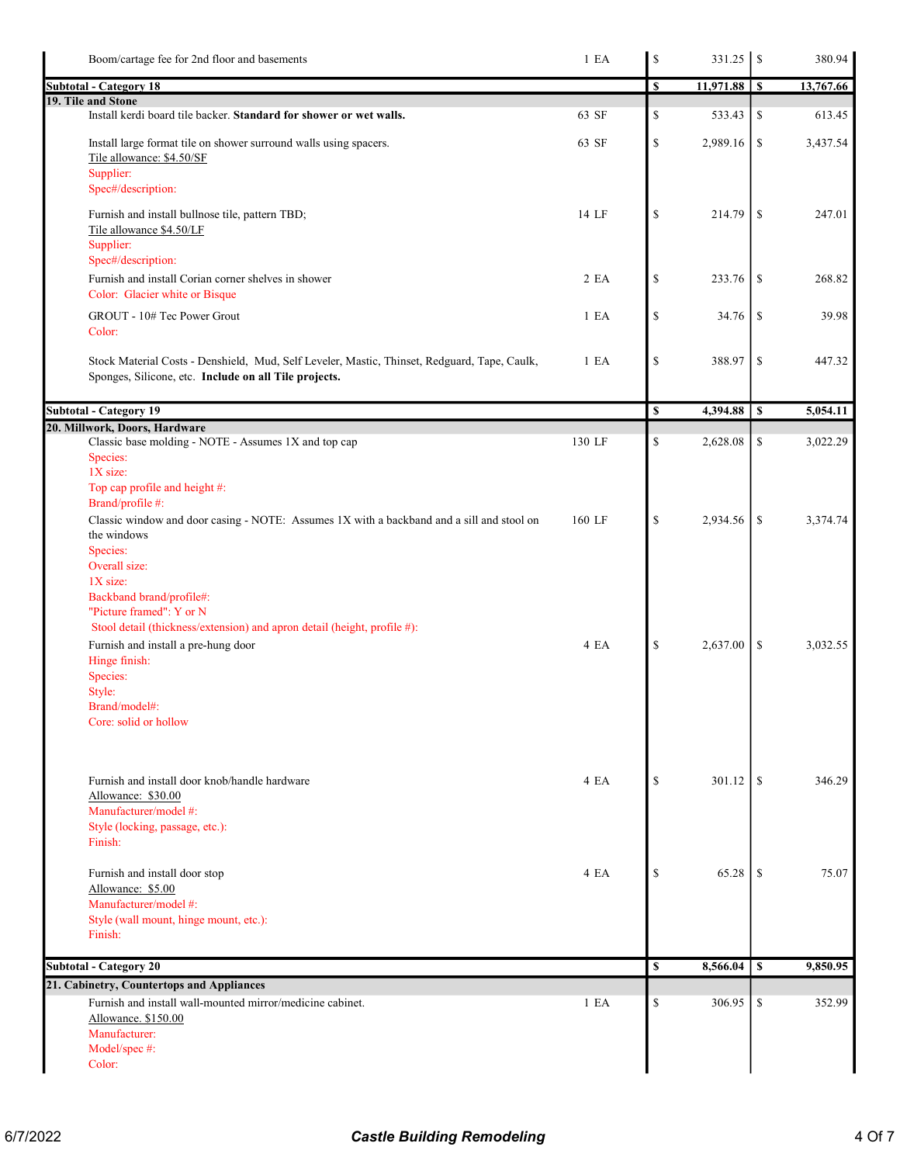| Boom/cartage fee for 2nd floor and basements                                                                                                          | 1 E A            | $\mathbb{S}% _{t}\left( t_{0}\right)$ |                  |               | 380.94    |
|-------------------------------------------------------------------------------------------------------------------------------------------------------|------------------|---------------------------------------|------------------|---------------|-----------|
| <b>Subtotal - Category 18</b>                                                                                                                         |                  | \$                                    | $11,971.88$   \$ |               | 13,767.66 |
| 19. Tile and Stone                                                                                                                                    |                  |                                       |                  |               |           |
| Install kerdi board tile backer. Standard for shower or wet walls.                                                                                    | 63 SF            | \$                                    | 533.43           | \$            | 613.45    |
| Install large format tile on shower surround walls using spacers.<br>Tile allowance: \$4.50/SF<br>Supplier:                                           | 63 SF            | $\mathbb S$                           | 2,989.16         | \$            | 3,437.54  |
| Spec#/description:                                                                                                                                    |                  |                                       |                  |               |           |
| Furnish and install bullnose tile, pattern TBD;<br>Tile allowance \$4.50/LF<br>Supplier:<br>Spec#/description:                                        | 14 LF            | $\mathbb{S}$                          | 214.79           | \$            | 247.01    |
| Furnish and install Corian corner shelves in shower<br>Color: Glacier white or Bisque                                                                 | 2EA              | $\mathbb{S}% _{t}\left( t\right)$     | 233.76           | \$            | 268.82    |
| GROUT - 10# Tec Power Grout<br>Color:                                                                                                                 | 1 E <sub>A</sub> | \$                                    | 34.76            | <sup>\$</sup> | 39.98     |
| Stock Material Costs - Denshield, Mud, Self Leveler, Mastic, Thinset, Redguard, Tape, Caulk,<br>Sponges, Silicone, etc. Include on all Tile projects. | 1 E A            | \$                                    | 388.97           | <sup>\$</sup> | 447.32    |
| <b>Subtotal - Category 19</b>                                                                                                                         |                  | \$                                    | 4,394.88         | \$            | 5,054.11  |
| 20. Millwork, Doors, Hardware                                                                                                                         |                  |                                       |                  |               |           |
| Classic base molding - NOTE - Assumes 1X and top cap<br>Species:<br>1X size:                                                                          | 130 LF           | \$                                    | 2,628.08         | \$            | 3,022.29  |
| Top cap profile and height #:<br>Brand/profile #:                                                                                                     |                  |                                       |                  |               |           |
| Classic window and door casing - NOTE: Assumes 1X with a backband and a sill and stool on<br>the windows<br>Species:                                  | 160 LF           | \$                                    | 2,934.56         | <sup>\$</sup> | 3,374.74  |
| Overall size:<br>$1X$ size:<br>Backband brand/profile#:<br>"Picture framed": Y or N                                                                   |                  |                                       |                  |               |           |
| Stool detail (thickness/extension) and apron detail (height, profile #):<br>Furnish and install a pre-hung door                                       | 4 EA             | \$                                    | 2,637.00         | \$            | 3,032.55  |
| Hinge finish:                                                                                                                                         |                  |                                       |                  |               |           |
| Species:<br>Style:                                                                                                                                    |                  |                                       |                  |               |           |
| Brand/model#:                                                                                                                                         |                  |                                       |                  |               |           |
| Core: solid or hollow                                                                                                                                 |                  |                                       |                  |               |           |
| Furnish and install door knob/handle hardware<br>Allowance: \$30.00                                                                                   | 4 EA             | \$                                    | 301.12           | <sup>\$</sup> | 346.29    |
| Manufacturer/model #:<br>Style (locking, passage, etc.):                                                                                              |                  |                                       |                  |               |           |
| Finish:                                                                                                                                               |                  |                                       |                  |               |           |
| Furnish and install door stop                                                                                                                         | 4 EA             | \$                                    | 65.28            | <sup>\$</sup> | 75.07     |
| Allowance: \$5.00<br>Manufacturer/model #:                                                                                                            |                  |                                       |                  |               |           |
| Style (wall mount, hinge mount, etc.):                                                                                                                |                  |                                       |                  |               |           |
| Finish:                                                                                                                                               |                  |                                       |                  |               |           |
| Subtotal - Category 20                                                                                                                                |                  | \$                                    | 8,566.04         | \$            | 9,850.95  |
| 21. Cabinetry, Countertops and Appliances                                                                                                             |                  |                                       |                  |               |           |
| Furnish and install wall-mounted mirror/medicine cabinet.                                                                                             | 1 E A            | \$                                    | 306.95           | \$            | 352.99    |
| Allowance. \$150.00                                                                                                                                   |                  |                                       |                  |               |           |
| Manufacturer:<br>Model/spec #:                                                                                                                        |                  |                                       |                  |               |           |
| Color:                                                                                                                                                |                  |                                       |                  |               |           |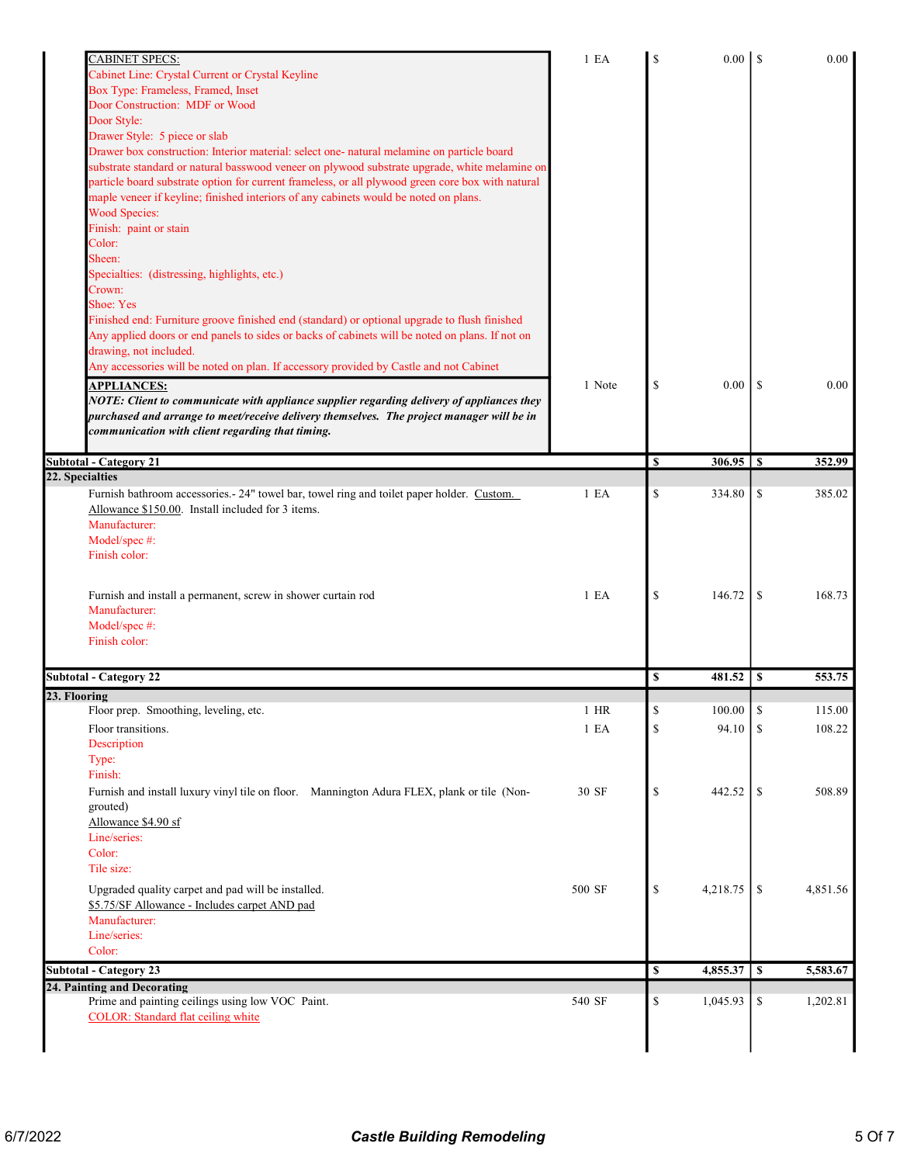| <b>CABINET SPECS:</b>                                                                             | 1 E A  | \$            |            |               | 0.00     |
|---------------------------------------------------------------------------------------------------|--------|---------------|------------|---------------|----------|
| Cabinet Line: Crystal Current or Crystal Keyline                                                  |        |               |            |               |          |
| Box Type: Frameless, Framed, Inset                                                                |        |               |            |               |          |
| Door Construction: MDF or Wood                                                                    |        |               |            |               |          |
| Door Style:                                                                                       |        |               |            |               |          |
| Drawer Style: 5 piece or slab                                                                     |        |               |            |               |          |
| Drawer box construction: Interior material: select one- natural melamine on particle board        |        |               |            |               |          |
| substrate standard or natural basswood veneer on plywood substrate upgrade, white melamine on     |        |               |            |               |          |
| particle board substrate option for current frameless, or all plywood green core box with natural |        |               |            |               |          |
| maple veneer if keyline; finished interiors of any cabinets would be noted on plans.              |        |               |            |               |          |
| <b>Wood Species:</b>                                                                              |        |               |            |               |          |
| Finish: paint or stain                                                                            |        |               |            |               |          |
| Color:                                                                                            |        |               |            |               |          |
| Sheen:                                                                                            |        |               |            |               |          |
| Specialties: (distressing, highlights, etc.)                                                      |        |               |            |               |          |
| Crown:                                                                                            |        |               |            |               |          |
| Shoe: Yes                                                                                         |        |               |            |               |          |
| Finished end: Furniture groove finished end (standard) or optional upgrade to flush finished      |        |               |            |               |          |
| Any applied doors or end panels to sides or backs of cabinets will be noted on plans. If not on   |        |               |            |               |          |
| drawing, not included.                                                                            |        |               |            |               |          |
| Any accessories will be noted on plan. If accessory provided by Castle and not Cabinet            |        |               |            |               |          |
|                                                                                                   |        |               |            |               |          |
| <b>APPLIANCES:</b>                                                                                | 1 Note | \$            | 0.00       | -S            | 0.00     |
| NOTE: Client to communicate with appliance supplier regarding delivery of appliances they         |        |               |            |               |          |
| purchased and arrange to meet/receive delivery themselves. The project manager will be in         |        |               |            |               |          |
| communication with client regarding that timing.                                                  |        |               |            |               |          |
|                                                                                                   |        |               |            |               |          |
| <b>Subtotal - Category 21</b>                                                                     |        | <sup>\$</sup> |            |               | 352.99   |
| 22. Specialties                                                                                   |        |               |            |               |          |
| Furnish bathroom accessories. - 24" towel bar, towel ring and toilet paper holder. Custom.        | 1 E A  | \$            | 334.80     | \$            | 385.02   |
| Allowance \$150.00. Install included for 3 items.                                                 |        |               |            |               |          |
| Manufacturer:                                                                                     |        |               |            |               |          |
| Model/spec #:                                                                                     |        |               |            |               |          |
| Finish color:                                                                                     |        |               |            |               |          |
|                                                                                                   |        |               |            |               |          |
|                                                                                                   | 1 E A  |               |            |               | 168.73   |
| Furnish and install a permanent, screw in shower curtain rod                                      |        | \$            | 146.72     | -S            |          |
| Manufacturer:                                                                                     |        |               |            |               |          |
| Model/spec #:                                                                                     |        |               |            |               |          |
| Finish color:                                                                                     |        |               |            |               |          |
|                                                                                                   |        |               |            |               |          |
| <b>Subtotal - Category 22</b>                                                                     |        | \$            | 481.52     | <sup>\$</sup> | 553.75   |
| 23. Flooring                                                                                      |        |               |            |               |          |
| Floor prep. Smoothing, leveling, etc.                                                             | $1$ HR | S             | $100.00\,$ | \$            | 115.00   |
| Floor transitions.                                                                                | 1 E A  | \$            | 94.10      | <sup>\$</sup> | 108.22   |
| Description                                                                                       |        |               |            |               |          |
| Type:                                                                                             |        |               |            |               |          |
| Finish:                                                                                           |        |               |            |               |          |
| Furnish and install luxury vinyl tile on floor. Mannington Adura FLEX, plank or tile (Non-        | 30 SF  | \$            | 442.52     | \$            | 508.89   |
| grouted)                                                                                          |        |               |            |               |          |
| Allowance \$4.90 sf                                                                               |        |               |            |               |          |
| Line/series:                                                                                      |        |               |            |               |          |
| Color:                                                                                            |        |               |            |               |          |
| Tile size:                                                                                        |        |               |            |               |          |
|                                                                                                   |        |               |            |               |          |
| Upgraded quality carpet and pad will be installed.                                                | 500 SF | \$            | 4,218.75   | -S            | 4,851.56 |
| \$5.75/SF Allowance - Includes carpet AND pad                                                     |        |               |            |               |          |
| Manufacturer:                                                                                     |        |               |            |               |          |
| Line/series:                                                                                      |        |               |            |               |          |
| Color:                                                                                            |        |               |            |               |          |
| <b>Subtotal - Category 23</b>                                                                     |        | \$            | 4,855.37   | <sup>\$</sup> | 5,583.67 |
| 24. Painting and Decorating                                                                       |        |               |            |               |          |
| Prime and painting ceilings using low VOC Paint.                                                  | 540 SF | \$            | 1,045.93   | \$            | 1,202.81 |
| <b>COLOR:</b> Standard flat ceiling white                                                         |        |               |            |               |          |
|                                                                                                   |        |               |            |               |          |
|                                                                                                   |        |               |            |               |          |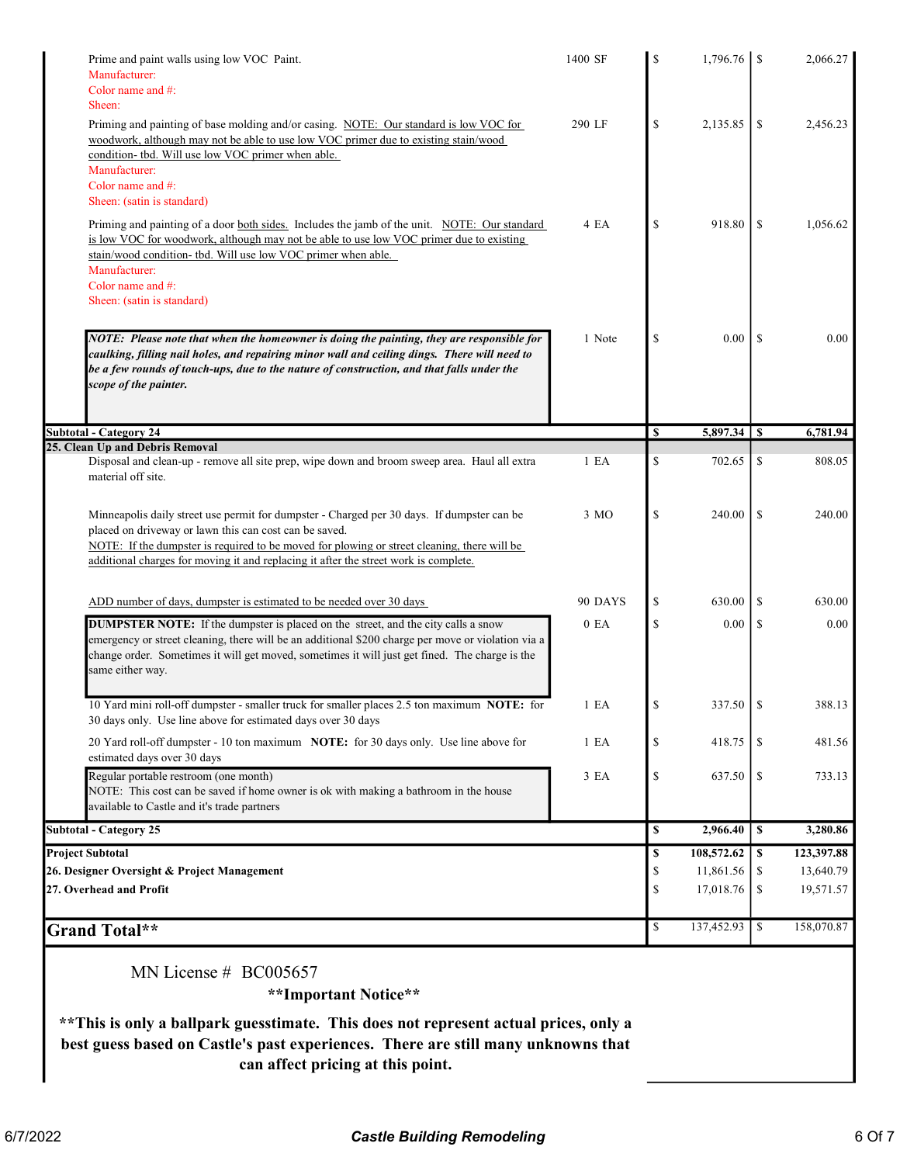| 290 LF<br>4 EA<br>1 Note<br>1 E A<br>3 MO | \$<br>\$<br>\$<br>S<br>\$<br>\$ | 2,135.85<br>918.80<br>0.00<br>702.65<br>240.00 | \$<br>\$<br>-S<br>\$<br>\$ | 2,456.23<br>1,056.62<br>0.00<br>6,781.94<br>808.05<br>240.00 |
|-------------------------------------------|---------------------------------|------------------------------------------------|----------------------------|--------------------------------------------------------------|
|                                           |                                 |                                                |                            |                                                              |
|                                           |                                 |                                                |                            |                                                              |
|                                           |                                 |                                                |                            |                                                              |
|                                           |                                 |                                                |                            |                                                              |
|                                           |                                 |                                                |                            |                                                              |
|                                           |                                 |                                                |                            |                                                              |
|                                           |                                 |                                                |                            |                                                              |
|                                           |                                 |                                                |                            |                                                              |
|                                           |                                 |                                                |                            |                                                              |
|                                           |                                 |                                                |                            |                                                              |
|                                           |                                 |                                                |                            |                                                              |
| 90 DAYS                                   | \$                              | 630.00                                         | -S                         | 630.00                                                       |
| 0 E <sub>A</sub>                          | \$                              | 0.00                                           | \$                         | 0.00                                                         |
| 1 E <sub>A</sub>                          |                                 | 337.50                                         | <sup>\$</sup>              | 388.13                                                       |
| 1 E <sub>A</sub>                          | \$                              | 418.75                                         | \$                         | 481.56                                                       |
| 3 EA                                      | \$                              | 637.50                                         | \$                         | 733.13                                                       |
|                                           | \$                              | 2,966.40                                       | \$                         | 3,280.86                                                     |
|                                           | \$                              | 108,572.62                                     | \$                         | 123,397.88                                                   |
|                                           | \$                              | 11,861.56                                      | S                          | 13,640.79                                                    |
|                                           | \$                              | 17,018.76                                      | \$                         | 19,571.57                                                    |
|                                           | \$                              | 137,452.93                                     | \$                         | 158,070.87                                                   |
|                                           |                                 |                                                |                            |                                                              |

\*\*This is only a ballpark guesstimate. This does not represent actual prices, only a best guess based on Castle's past experiences. There are still many unknowns that can affect pricing at this point.